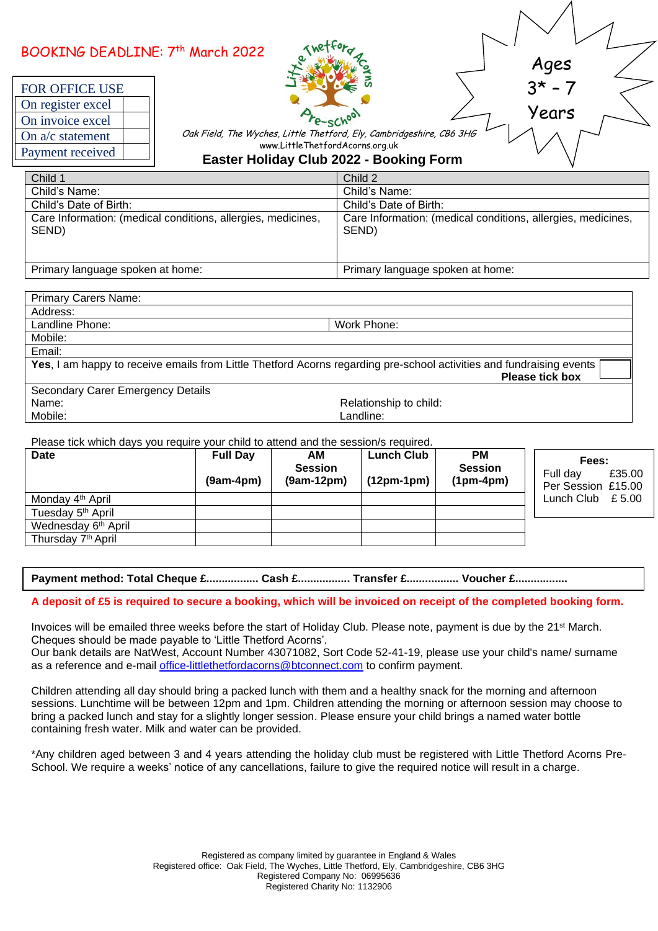| BOOKING DEADLINE: 7th March 2022<br>FOR OFFICE USE<br>On register excel<br>On invoice excel<br>On $a/c$ statement<br>Payment received | Ages<br>$3* - 7$<br>Years<br>Oak Field, The Wyches, Little Thetford, Ely, Cambridgeshire, CB6 3HG<br>www.LittleThetfordAcorns.org.uk<br><b>Easter Holiday Club 2022 - Booking Form</b> |  |  |
|---------------------------------------------------------------------------------------------------------------------------------------|----------------------------------------------------------------------------------------------------------------------------------------------------------------------------------------|--|--|
| Child 1                                                                                                                               | Child 2                                                                                                                                                                                |  |  |
| Child's Name:                                                                                                                         | Child's Name:                                                                                                                                                                          |  |  |
| Child's Date of Birth:                                                                                                                | Child's Date of Birth:                                                                                                                                                                 |  |  |
| Care Information: (medical conditions, allergies, medicines,<br>SEND)                                                                 | Care Information: (medical conditions, allergies, medicines,<br>SEND)                                                                                                                  |  |  |
| Primary language spoken at home:                                                                                                      | Primary language spoken at home:                                                                                                                                                       |  |  |

| <b>Primary Carers Name:</b>                                                                                          |                        |  |  |  |  |
|----------------------------------------------------------------------------------------------------------------------|------------------------|--|--|--|--|
| Address:                                                                                                             |                        |  |  |  |  |
| Landline Phone:                                                                                                      | Work Phone:            |  |  |  |  |
| Mobile:                                                                                                              |                        |  |  |  |  |
| Email:                                                                                                               |                        |  |  |  |  |
| Yes, I am happy to receive emails from Little Thetford Acorns regarding pre-school activities and fundraising events |                        |  |  |  |  |
|                                                                                                                      | <b>Please tick box</b> |  |  |  |  |
| Secondary Carer Emergency Details                                                                                    |                        |  |  |  |  |
| Name:                                                                                                                | Relationship to child: |  |  |  |  |
| Mobile:                                                                                                              | Landline:              |  |  |  |  |

Please tick which days you require your child to attend and the session/s required.

| <b>Date</b>                     | <b>Full Day</b><br>$(9am-4pm)$ | AМ<br><b>Session</b><br>$(9am-12pm)$ | <b>Lunch Club</b><br>$(12pm-1pm)$ | <b>PM</b><br><b>Session</b><br>$(1pm-4pm)$ | Fees:<br>£35.00<br>Full dav<br>Per Session £15.00 |
|---------------------------------|--------------------------------|--------------------------------------|-----------------------------------|--------------------------------------------|---------------------------------------------------|
| Monday 4 <sup>th</sup> April    |                                |                                      |                                   |                                            | Lunch Club<br>£ 5.00                              |
| Tuesday 5 <sup>th</sup> April   |                                |                                      |                                   |                                            |                                                   |
| Wednesday 6 <sup>th</sup> April |                                |                                      |                                   |                                            |                                                   |
| Thursday 7 <sup>th</sup> April  |                                |                                      |                                   |                                            |                                                   |

**Payment method: Total Cheque £................. Cash £................. Transfer £................. Voucher £.................**

## **A deposit of £5 is required to secure a booking, which will be invoiced on receipt of the completed booking form.**

Invoices will be emailed three weeks before the start of Holiday Club. Please note, payment is due by the 21st March. Cheques should be made payable to 'Little Thetford Acorns'.

Our bank details are NatWest, Account Number 43071082, Sort Code 52-41-19, please use your child's name/ surname as a reference and e-mail [office-littlethetfordacorns@btconnect.com](mailto:office-littlethetfordacorns@btconnect.com) to confirm payment.

Children attending all day should bring a packed lunch with them and a healthy snack for the morning and afternoon sessions. Lunchtime will be between 12pm and 1pm. Children attending the morning or afternoon session may choose to bring a packed lunch and stay for a slightly longer session. Please ensure your child brings a named water bottle containing fresh water. Milk and water can be provided.

\*Any children aged between 3 and 4 years attending the holiday club must be registered with Little Thetford Acorns Pre-School. We require a weeks' notice of any cancellations, failure to give the required notice will result in a charge.